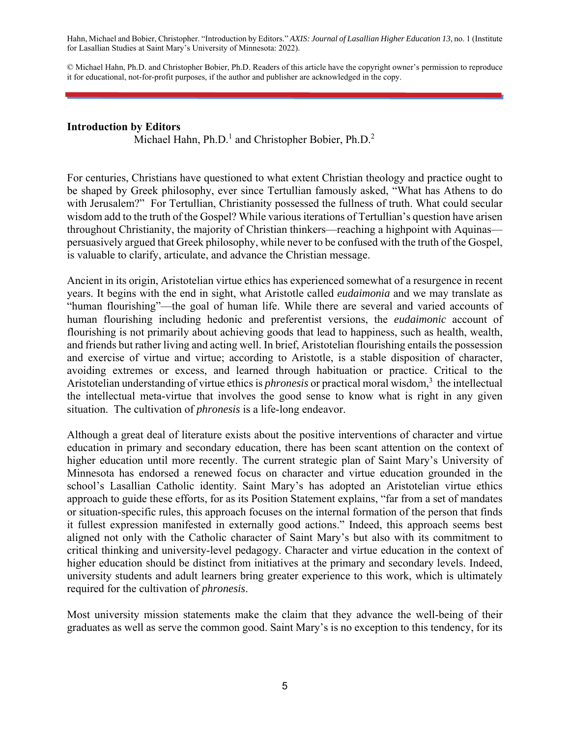Hahn, Michael and Bobier, Christopher. "Introduction by Editors." *AXIS: Journal of Lasallian Higher Education 13*, no. 1 (Institute for Lasallian Studies at Saint Mary's University of Minnesota: 2022).

© Michael Hahn, Ph.D. and Christopher Bobier, Ph.D. Readers of this article have the copyright owner's permission to reproduce it for educational, not-for-profit purposes, if the author and publisher are acknowledged in the copy.

## **Introduction by Editors**

Michael Hahn, Ph.D.<sup>1</sup> and Christopher Bobier, Ph.D.<sup>2</sup>

For centuries, Christians have questioned to what extent Christian theology and practice ought to be shaped by Greek philosophy, ever since Tertullian famously asked, "What has Athens to do with Jerusalem?" For Tertullian, Christianity possessed the fullness of truth. What could secular wisdom add to the truth of the Gospel? While various iterations of Tertullian's question have arisen throughout Christianity, the majority of Christian thinkers—reaching a highpoint with Aquinas persuasively argued that Greek philosophy, while never to be confused with the truth of the Gospel, is valuable to clarify, articulate, and advance the Christian message.

Ancient in its origin, Aristotelian virtue ethics has experienced somewhat of a resurgence in recent years. It begins with the end in sight, what Aristotle called *eudaimonia* and we may translate as "human flourishing"—the goal of human life. While there are several and varied accounts of human flourishing including hedonic and preferentist versions, the *eudaimonic* account of flourishing is not primarily about achieving goods that lead to happiness, such as health, wealth, and friends but rather living and acting well. In brief, Aristotelian flourishing entails the possession and exercise of virtue and virtue; according to Aristotle, is a stable disposition of character, avoiding extremes or excess, and learned through habituation or practice. Critical to the Aristotelian understanding of virtue ethics is *phronesis* or practical moral wisdom,<sup>3</sup> the intellectual the intellectual meta-virtue that involves the good sense to know what is right in any given situation. The cultivation of *phronesis* is a life-long endeavor.

Although a great deal of literature exists about the positive interventions of character and virtue education in primary and secondary education, there has been scant attention on the context of higher education until more recently. The current strategic plan of Saint Mary's University of Minnesota has endorsed a renewed focus on character and virtue education grounded in the school's Lasallian Catholic identity. Saint Mary's has adopted an Aristotelian virtue ethics approach to guide these efforts, for as its Position Statement explains, "far from a set of mandates or situation-specific rules, this approach focuses on the internal formation of the person that finds it fullest expression manifested in externally good actions." Indeed, this approach seems best aligned not only with the Catholic character of Saint Mary's but also with its commitment to critical thinking and university-level pedagogy. Character and virtue education in the context of higher education should be distinct from initiatives at the primary and secondary levels. Indeed, university students and adult learners bring greater experience to this work, which is ultimately required for the cultivation of *phronesis*.

Most university mission statements make the claim that they advance the well-being of their graduates as well as serve the common good. Saint Mary's is no exception to this tendency, for its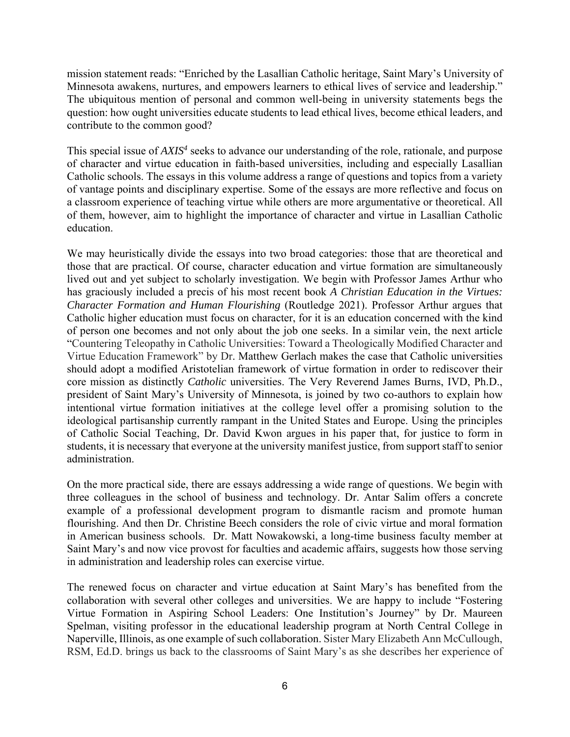mission statement reads: "Enriched by the Lasallian Catholic heritage, Saint Mary's University of Minnesota awakens, nurtures, and empowers learners to ethical lives of service and leadership." The ubiquitous mention of personal and common well-being in university statements begs the question: how ought universities educate students to lead ethical lives, become ethical leaders, and contribute to the common good?

This special issue of *AXIS4* seeks to advance our understanding of the role, rationale, and purpose of character and virtue education in faith-based universities, including and especially Lasallian Catholic schools. The essays in this volume address a range of questions and topics from a variety of vantage points and disciplinary expertise. Some of the essays are more reflective and focus on a classroom experience of teaching virtue while others are more argumentative or theoretical. All of them, however, aim to highlight the importance of character and virtue in Lasallian Catholic education.

We may heuristically divide the essays into two broad categories: those that are theoretical and those that are practical. Of course, character education and virtue formation are simultaneously lived out and yet subject to scholarly investigation. We begin with Professor James Arthur who has graciously included a precis of his most recent book *A Christian Education in the Virtues: Character Formation and Human Flourishing* (Routledge 2021). Professor Arthur argues that Catholic higher education must focus on character, for it is an education concerned with the kind of person one becomes and not only about the job one seeks. In a similar vein, the next article "Countering Teleopathy in Catholic Universities: Toward a Theologically Modified Character and Virtue Education Framework" by Dr. Matthew Gerlach makes the case that Catholic universities should adopt a modified Aristotelian framework of virtue formation in order to rediscover their core mission as distinctly *Catholic* universities. The Very Reverend James Burns, IVD, Ph.D., president of Saint Mary's University of Minnesota, is joined by two co-authors to explain how intentional virtue formation initiatives at the college level offer a promising solution to the ideological partisanship currently rampant in the United States and Europe. Using the principles of Catholic Social Teaching, Dr. David Kwon argues in his paper that, for justice to form in students, it is necessary that everyone at the university manifest justice, from support staff to senior administration.

On the more practical side, there are essays addressing a wide range of questions. We begin with three colleagues in the school of business and technology. Dr. Antar Salim offers a concrete example of a professional development program to dismantle racism and promote human flourishing. And then Dr. Christine Beech considers the role of civic virtue and moral formation in American business schools. Dr. Matt Nowakowski, a long-time business faculty member at Saint Mary's and now vice provost for faculties and academic affairs, suggests how those serving in administration and leadership roles can exercise virtue.

The renewed focus on character and virtue education at Saint Mary's has benefited from the collaboration with several other colleges and universities. We are happy to include "Fostering Virtue Formation in Aspiring School Leaders: One Institution's Journey" by Dr. Maureen Spelman, visiting professor in the educational leadership program at North Central College in Naperville, Illinois, as one example of such collaboration. Sister Mary Elizabeth Ann McCullough, RSM, Ed.D. brings us back to the classrooms of Saint Mary's as she describes her experience of